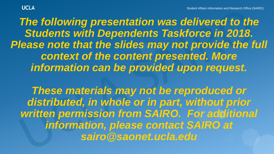**The following presentation was delivered to the** *Students with Dependents Taskforce in 2018. Please note that the slides may not provide the full context of the content presented. More information can be provided upon request.*

*These materials may not be reproduced or distributed, in whole or in part, without prior written permission from SAIRO. For additional information, please contact SAIRO at sairo@saonet.ucla.edu*

**UCLA**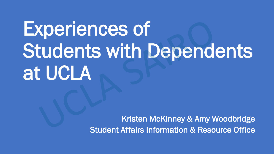# Experiences of Students with Dependents at UCLA

Kristen McKinney & Amy Woodbridge Student Affairs Information & Resource Office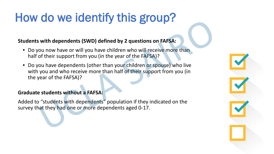## How do we identify this group?

#### **Students with dependents (SWD) defined by 2 questions on FAFSA:**

- Do you now have or will you have children who will receive more than half of their support from you (in the year of the FAFSA)?
- Do you have dependents (other than your children or spouse) who live with you and who receive more than half of their support from you (in the year of the FAFSA)?

#### **Graduate students without a FAFSA:**

Added to "students with dependents" population if they indicated on the survey that they had one or more dependents aged 0-17.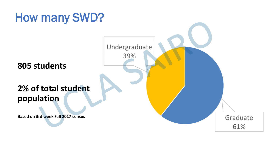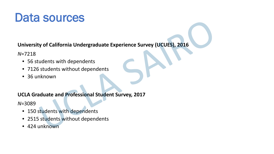#### Data sources

**University of California Undergraduate Experience Survey (UCUES), 2016**

*N*=7218

- 56 students with dependents
- 7126 students without dependents
- 36 unknown

#### **UCLA Graduate and Professional Student Survey, 2017**

*N*=3089

- 150 students with dependents
- 2515 students without dependents
- 424 unknown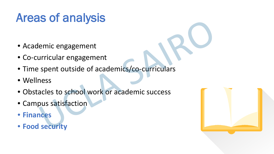# Areas of analysis

- Academic engagement
- Co-curricular engagement
- Time spent outside of academics/co-curriculars
- Wellness
- Obstacles to school work or academic success
- Campus satisfaction
- **Finances**
- **Food security**

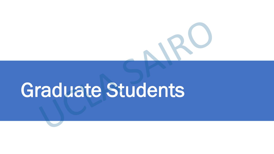# Graduate Students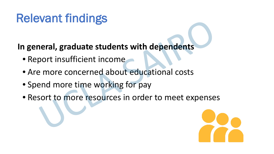## Relevant findings

**In general, graduate students with dependents**

- Report insufficient income
- Are more concerned about educational costs
- Spend more time working for pay
- Resort to more resources in order to meet expenses

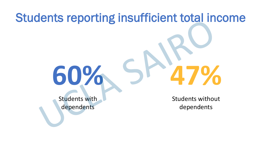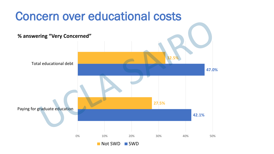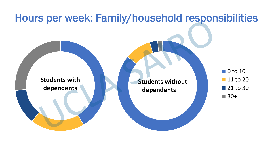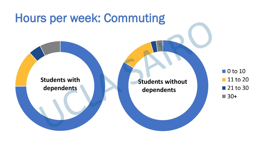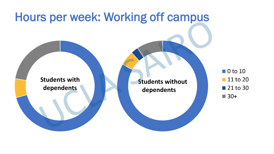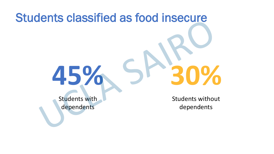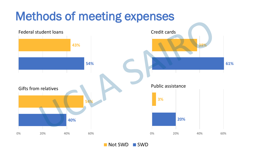

Not SWD SWD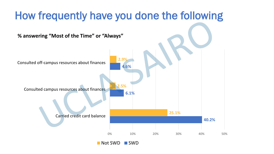

Not SWD SWD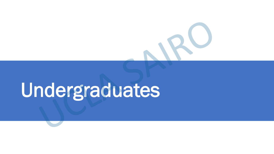# Undergraduates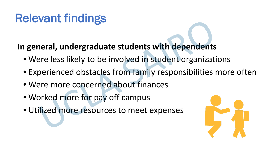# Relevant findings

#### **In general, undergraduate students with dependents**

- Were less likely to be involved in student organizations
- Experienced obstacles from family responsibilities more often
- Were more concerned about finances
- Worked more for pay off campus
- Utilized more resources to meet expenses

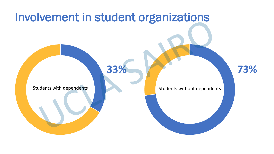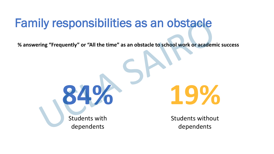### Family responsibilities as an obstacle

**% answering "Frequently" or "All the time" as an obstacle to school work or academic success**

**84% 19%**

Students with dependents

Students without dependents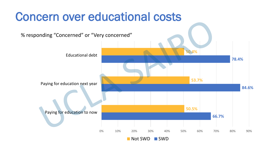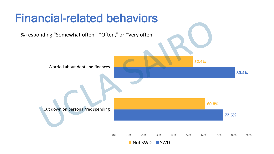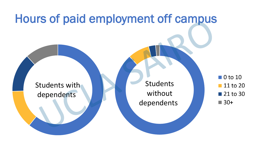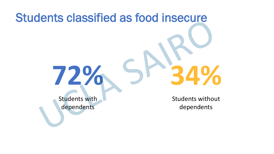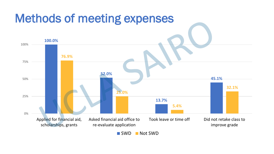

SWD Not SWD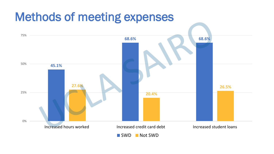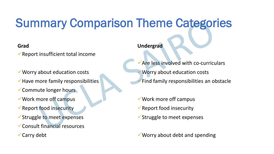# Summary Comparison Theme Categories

#### **Grad**

 $\sqrt{\ }$ Report insufficient total income

- Worry about education costs
- $\checkmark$  Have more family responsibilities
- Commute longer hours
- Work more off campus
- Report food insecurity
- Struggle to meet expenses
- Consult financial resources
- **V** Carry debt

#### **Undergrad**

- Are less involved with co-curriculars Worry about education costs Find family responsibilities an obstacle
- Work more off campus
- $\checkmark$  Report food insecurity
- $\checkmark$  Struggle to meet expenses

 $\checkmark$  Worry about debt and spending